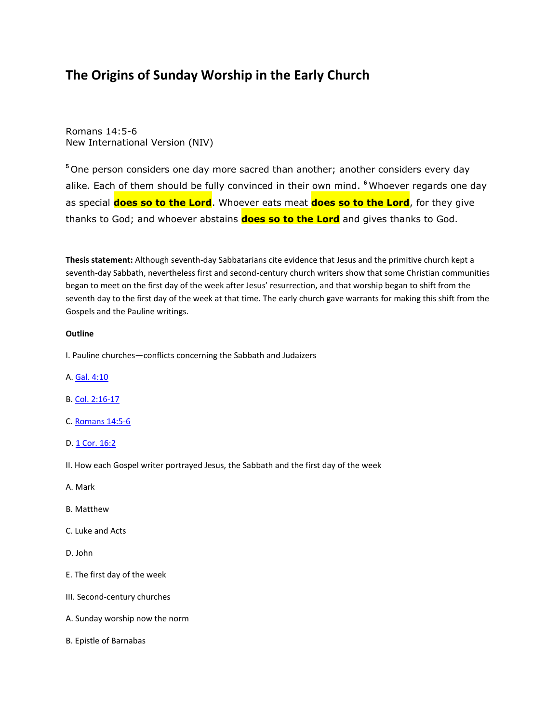# **The Origins of Sunday Worship in the Early Church**

Romans 14:5-6 New International Version (NIV)

**<sup>5</sup>** One person considers one day more sacred than another; another considers every day alike. Each of them should be fully convinced in their own mind. **<sup>6</sup>** Whoever regards one day as special **does so to the Lord**. Whoever eats meat **does so to the Lord**, for they give thanks to God; and whoever abstains **does so to the Lord** and gives thanks to God.

**Thesis statement:** Although seventh-day Sabbatarians cite evidence that Jesus and the primitive church kept a seventh-day Sabbath, nevertheless first and second-century church writers show that some Christian communities began to meet on the first day of the week after Jesus' resurrection, and that worship began to shift from the seventh day to the first day of the week at that time. The early church gave warrants for making this shift from the Gospels and the Pauline writings.

#### **Outline**

I. Pauline churches—conflicts concerning the Sabbath and Judaizers

- A. [Gal. 4:10](http://biblia.com/bible/niv/Gal.%204.10)
- B. [Col. 2:16-17](http://biblia.com/bible/niv/Col.%202.16-17)
- C. [Romans 14:5-6](http://biblia.com/bible/niv/Romans%2014.5-6)
- D. [1 Cor. 16:2](http://biblia.com/bible/niv/1%20Cor.%2016.2)
- II. How each Gospel writer portrayed Jesus, the Sabbath and the first day of the week
- A. Mark
- B. Matthew
- C. Luke and Acts
- D. John
- E. The first day of the week
- III. Second-century churches
- A. Sunday worship now the norm
- B. Epistle of Barnabas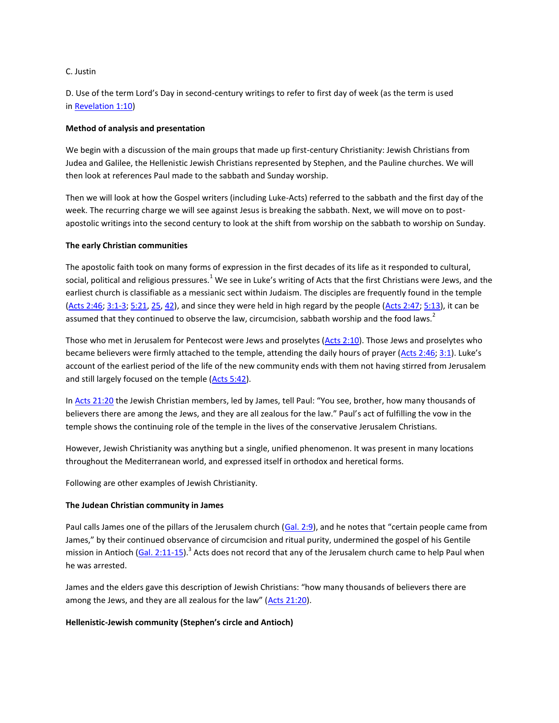# C. Justin

D. Use of the term Lord's Day in second-century writings to refer to first day of week (as the term is used in [Revelation 1:10\)](http://biblia.com/bible/niv/Revelation%201.10)

# **Method of analysis and presentation**

We begin with a discussion of the main groups that made up first-century Christianity: Jewish Christians from Judea and Galilee, the Hellenistic Jewish Christians represented by Stephen, and the Pauline churches. We will then look at references Paul made to the sabbath and Sunday worship.

Then we will look at how the Gospel writers (including Luke-Acts) referred to the sabbath and the first day of the week. The recurring charge we will see against Jesus is breaking the sabbath. Next, we will move on to postapostolic writings into the second century to look at the shift from worship on the sabbath to worship on Sunday.

# **The early Christian communities**

The apostolic faith took on many forms of expression in the first decades of its life as it responded to cultural, social, political and religious pressures.<sup>1</sup> We see in Luke's writing of Acts that the first Christians were Jews, and the earliest church is classifiable as a messianic sect within Judaism. The disciples are frequently found in the temple [\(Acts 2:46;](http://biblia.com/bible/niv/Acts%202.46) [3:1-3;](http://biblia.com/bible/niv/Acts%203.1-3) [5:21,](http://biblia.com/bible/niv/Acts%205.21) [25,](http://biblia.com/bible/niv/Acts%205.25) [42\)](http://biblia.com/bible/niv/Acts%205.42), and since they were held in high regard by the people [\(Acts 2:47;](http://biblia.com/bible/niv/Acts%202.47) [5:13\)](http://biblia.com/bible/niv/Acts%205.13), it can be assumed that they continued to observe the law, circumcision, sabbath worship and the food laws.<sup>2</sup>

Those who met in Jerusalem for Pentecost were Jews and proselytes [\(Acts 2:10\)](http://biblia.com/bible/niv/Acts%202.10). Those Jews and proselytes who became believers were firmly attached to the temple, attending the daily hours of prayer ( $\Delta c$ ts 2:46; [3:1](http://biblia.com/bible/niv/Acts%203.1)). Luke's account of the earliest period of the life of the new community ends with them not having stirred from Jerusalem and still largely focused on the temple [\(Acts 5:42\)](http://biblia.com/bible/niv/Acts%205.42).

In [Acts 21:20](http://biblia.com/bible/niv/Acts%2021.20) the Jewish Christian members, led by James, tell Paul: "You see, brother, how many thousands of believers there are among the Jews, and they are all zealous for the law." Paul's act of fulfilling the vow in the temple shows the continuing role of the temple in the lives of the conservative Jerusalem Christians.

However, Jewish Christianity was anything but a single, unified phenomenon. It was present in many locations throughout the Mediterranean world, and expressed itself in orthodox and heretical forms.

Following are other examples of Jewish Christianity.

#### **The Judean Christian community in James**

Paul calls James one of the pillars of the Jerusalem church [\(Gal. 2:9](http://biblia.com/bible/niv/Gal.%202.9)), and he notes that "certain people came from James," by their continued observance of circumcision and ritual purity, undermined the gospel of his Gentile mission in Antioch [\(Gal. 2:11-15\)](http://biblia.com/bible/niv/Gal.%202.11-15).<sup>3</sup> Acts does not record that any of the Jerusalem church came to help Paul when he was arrested.

James and the elders gave this description of Jewish Christians: "how many thousands of believers there are among the Jews, and they are all zealous for the law" ([Acts 21:20\)](http://biblia.com/bible/niv/Acts%2021.20).

# **Hellenistic-Jewish community (Stephen's circle and Antioch)**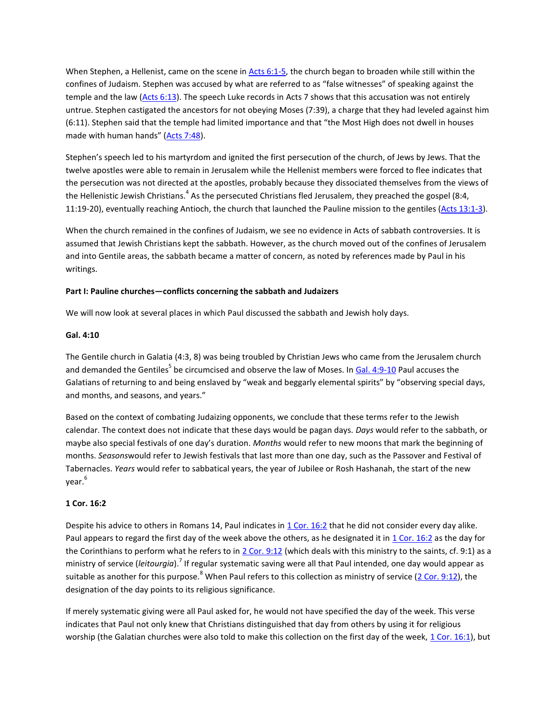When Stephen, a Hellenist, came on the scene in [Acts 6:1-5,](http://biblia.com/bible/niv/Acts%206.1-5) the church began to broaden while still within the confines of Judaism. Stephen was accused by what are referred to as "false witnesses" of speaking against the temple and the law [\(Acts 6:13\)](http://biblia.com/bible/niv/Acts%206.13). The speech Luke records in Acts 7 shows that this accusation was not entirely untrue. Stephen castigated the ancestors for not obeying Moses (7:39), a charge that they had leveled against him (6:11). Stephen said that the temple had limited importance and that "the Most High does not dwell in houses made with human hands" ([Acts 7:48\)](http://biblia.com/bible/niv/Acts%207.48).

Stephen's speech led to his martyrdom and ignited the first persecution of the church, of Jews by Jews. That the twelve apostles were able to remain in Jerusalem while the Hellenist members were forced to flee indicates that the persecution was not directed at the apostles, probably because they dissociated themselves from the views of the Hellenistic Jewish Christians.<sup>4</sup> As the persecuted Christians fled Jerusalem, they preached the gospel (8:4, 11:19-20), eventually reaching Antioch, the church that launched the Pauline mission to the gentiles [\(Acts 13:1-3\)](http://biblia.com/bible/niv/Acts%2013.1-3).

When the church remained in the confines of Judaism, we see no evidence in Acts of sabbath controversies. It is assumed that Jewish Christians kept the sabbath. However, as the church moved out of the confines of Jerusalem and into Gentile areas, the sabbath became a matter of concern, as noted by references made by Paul in his writings.

# **Part I: Pauline churches—conflicts concerning the sabbath and Judaizers**

We will now look at several places in which Paul discussed the sabbath and Jewish holy days.

#### **Gal. 4:10**

The Gentile church in Galatia (4:3, 8) was being troubled by Christian Jews who came from the Jerusalem church and demanded the Gentiles<sup>5</sup> be circumcised and observe the law of Moses. In <u>[Gal. 4:9-10](http://biblia.com/bible/niv/Gal.%204.9-10)</u> Paul accuses the Galatians of returning to and being enslaved by "weak and beggarly elemental spirits" by "observing special days, and months, and seasons, and years."

Based on the context of combating Judaizing opponents, we conclude that these terms refer to the Jewish calendar. The context does not indicate that these days would be pagan days. *Days* would refer to the sabbath, or maybe also special festivals of one day's duration. *Months* would refer to new moons that mark the beginning of months. *Seasons*would refer to Jewish festivals that last more than one day, such as the Passover and Festival of Tabernacles. *Years* would refer to sabbatical years, the year of Jubilee or Rosh Hashanah, the start of the new year. 6

# **1 Cor. 16:2**

Despite his advice to others in Romans 14, Paul indicates in [1 Cor. 16:2](http://biblia.com/bible/niv/1%20Cor.%2016.2) that he did not consider every day alike. Paul appears to regard the first day of the week above the others, as he designated it in  $1$  Cor. 16:2 as the day for the Corinthians to perform what he refers to in [2 Cor. 9:12](http://biblia.com/bible/niv/2%20Cor.%209.12) (which deals with this ministry to the saints, cf. 9:1) as a ministry of service (*leitourgia*).<sup>7</sup> If regular systematic saving were all that Paul intended, one day would appear as suitable as another for this purpose.<sup>8</sup> When Paul refers to this collection as ministry of service [\(2 Cor. 9:12\)](http://biblia.com/bible/niv/2%20Cor.%209.12), the designation of the day points to its religious significance.

If merely systematic giving were all Paul asked for, he would not have specified the day of the week. This verse indicates that Paul not only knew that Christians distinguished that day from others by using it for religious worship (the Galatian churches were also told to make this collection on the first day of the week, [1 Cor. 16:1\)](http://biblia.com/bible/niv/1%20Cor.%2016.1), but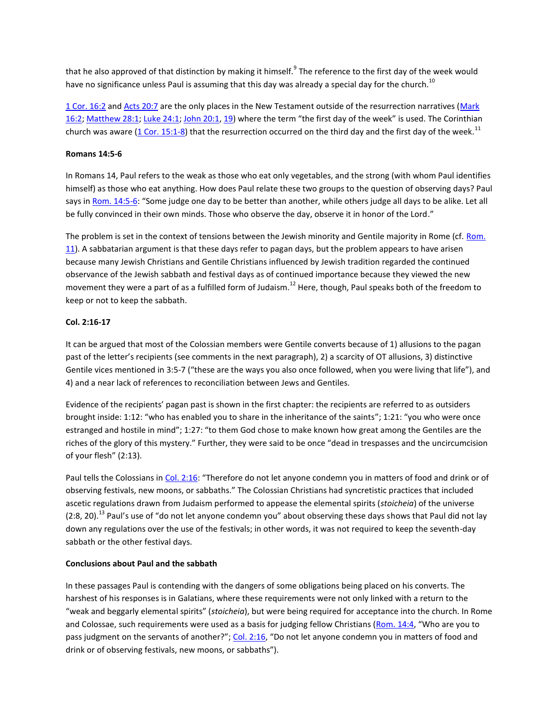that he also approved of that distinction by making it himself.<sup>9</sup> The reference to the first day of the week would have no significance unless Paul is assuming that this day was already a special day for the church.<sup>10</sup>

[1 Cor. 16:2](http://biblia.com/bible/niv/1%20Cor.%2016.2) and [Acts 20:7](http://biblia.com/bible/niv/Acts%2020.7) are the only places in the New Testament outside of the resurrection narratives (Mark [16:2;](http://biblia.com/bible/niv/Mark%2016.2) [Matthew 28:1;](http://biblia.com/bible/niv/Matthew%2028.1) [Luke 24:1;](http://biblia.com/bible/niv/Luke%2024.1) [John 20:1,](http://biblia.com/bible/niv/John%2020.1) [19](http://biblia.com/bible/niv/John%2020.19)) where the term "the first day of the week" is used. The Corinthian church was aware [\(1 Cor. 15:1-8\)](http://biblia.com/bible/niv/1%20Cor.%2015.1-8) that the resurrection occurred on the third day and the first day of the week.<sup>11</sup>

## **Romans 14:5-6**

In Romans 14, Paul refers to the weak as those who eat only vegetables, and the strong (with whom Paul identifies himself) as those who eat anything. How does Paul relate these two groups to the question of observing days? Paul says in [Rom. 14:5-6](http://biblia.com/bible/niv/Rom.%2014.5-6): "Some judge one day to be better than another, while others judge all days to be alike. Let all be fully convinced in their own minds. Those who observe the day, observe it in honor of the Lord."

The problem is set in the context of tensions between the Jewish minority and Gentile majority in Rome (cf. Rom. [11\)](http://biblia.com/bible/niv/Rom.%2011). A sabbatarian argument is that these days refer to pagan days, but the problem appears to have arisen because many Jewish Christians and Gentile Christians influenced by Jewish tradition regarded the continued observance of the Jewish sabbath and festival days as of continued importance because they viewed the new movement they were a part of as a fulfilled form of Judaism.<sup>12</sup> Here, though, Paul speaks both of the freedom to keep or not to keep the sabbath.

# **Col. 2:16-17**

It can be argued that most of the Colossian members were Gentile converts because of 1) allusions to the pagan past of the letter's recipients (see comments in the next paragraph), 2) a scarcity of OT allusions, 3) distinctive Gentile vices mentioned in 3:5-7 ("these are the ways you also once followed, when you were living that life"), and 4) and a near lack of references to reconciliation between Jews and Gentiles.

Evidence of the recipients' pagan past is shown in the first chapter: the recipients are referred to as outsiders brought inside: 1:12: "who has enabled you to share in the inheritance of the saints"; 1:21: "you who were once estranged and hostile in mind"; 1:27: "to them God chose to make known how great among the Gentiles are the riches of the glory of this mystery." Further, they were said to be once "dead in trespasses and the uncircumcision of your flesh" (2:13).

Paul tells the Colossians in [Col. 2:16](http://biblia.com/bible/niv/Col.%202.16): "Therefore do not let anyone condemn you in matters of food and drink or of observing festivals, new moons, or sabbaths." The Colossian Christians had syncretistic practices that included ascetic regulations drawn from Judaism performed to appease the elemental spirits (*stoicheia*) of the universe  $(2:8, 20).$ <sup>13</sup> Paul's use of "do not let anyone condemn you" about observing these days shows that Paul did not lay down any regulations over the use of the festivals; in other words, it was not required to keep the seventh-day sabbath or the other festival days.

# **Conclusions about Paul and the sabbath**

In these passages Paul is contending with the dangers of some obligations being placed on his converts. The harshest of his responses is in Galatians, where these requirements were not only linked with a return to the "weak and beggarly elemental spirits" (*stoicheia*), but were being required for acceptance into the church. In Rome and Colossae, such requirements were used as a basis for judging fellow Christians [\(Rom. 14:4](http://biblia.com/bible/niv/Rom.%2014.4), "Who are you to pass judgment on the servants of another?"; [Col. 2:16](http://biblia.com/bible/niv/Col.%202.16), "Do not let anyone condemn you in matters of food and drink or of observing festivals, new moons, or sabbaths").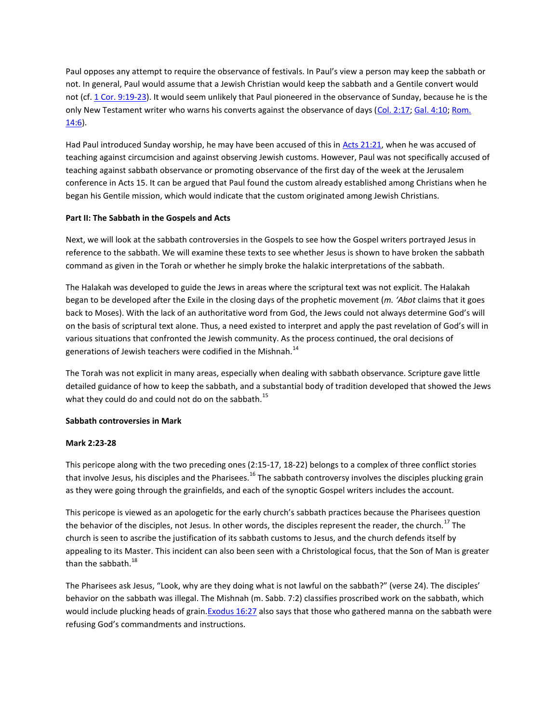Paul opposes any attempt to require the observance of festivals. In Paul's view a person may keep the sabbath or not. In general, Paul would assume that a Jewish Christian would keep the sabbath and a Gentile convert would not (cf. [1 Cor. 9:19-23\)](http://biblia.com/bible/niv/1%20Cor.%209.19-23). It would seem unlikely that Paul pioneered in the observance of Sunday, because he is the only New Testament writer who warns his converts against the observance of days [\(Col. 2:17;](http://biblia.com/bible/niv/Col.%202.17) [Gal. 4:10;](http://biblia.com/bible/niv/Gal.%204.10) Rom. [14:6\)](http://biblia.com/bible/niv/Rom.%2014.6).

Had Paul introduced Sunday worship, he may have been accused of this in [Acts 21:21,](http://biblia.com/bible/niv/Acts%2021.21) when he was accused of teaching against circumcision and against observing Jewish customs. However, Paul was not specifically accused of teaching against sabbath observance or promoting observance of the first day of the week at the Jerusalem conference in Acts 15. It can be argued that Paul found the custom already established among Christians when he began his Gentile mission, which would indicate that the custom originated among Jewish Christians.

# **Part II: The Sabbath in the Gospels and Acts**

Next, we will look at the sabbath controversies in the Gospels to see how the Gospel writers portrayed Jesus in reference to the sabbath. We will examine these texts to see whether Jesus is shown to have broken the sabbath command as given in the Torah or whether he simply broke the halakic interpretations of the sabbath.

The Halakah was developed to guide the Jews in areas where the scriptural text was not explicit. The Halakah began to be developed after the Exile in the closing days of the prophetic movement (*m. 'Abot* claims that it goes back to Moses). With the lack of an authoritative word from God, the Jews could not always determine God's will on the basis of scriptural text alone. Thus, a need existed to interpret and apply the past revelation of God's will in various situations that confronted the Jewish community. As the process continued, the oral decisions of generations of Jewish teachers were codified in the Mishnah.<sup>14</sup>

The Torah was not explicit in many areas, especially when dealing with sabbath observance. Scripture gave little detailed guidance of how to keep the sabbath, and a substantial body of tradition developed that showed the Jews what they could do and could not do on the sabbath.<sup>15</sup>

#### **Sabbath controversies in Mark**

# **Mark 2:23-28**

This pericope along with the two preceding ones (2:15-17, 18-22) belongs to a complex of three conflict stories that involve Jesus, his disciples and the Pharisees.<sup>16</sup> The sabbath controversy involves the disciples plucking grain as they were going through the grainfields, and each of the synoptic Gospel writers includes the account.

This pericope is viewed as an apologetic for the early church's sabbath practices because the Pharisees question the behavior of the disciples, not Jesus. In other words, the disciples represent the reader, the church.<sup>17</sup> The church is seen to ascribe the justification of its sabbath customs to Jesus, and the church defends itself by appealing to its Master. This incident can also been seen with a Christological focus, that the Son of Man is greater than the sabbath. $^{18}$ 

The Pharisees ask Jesus, "Look, why are they doing what is not lawful on the sabbath?" (verse 24). The disciples' behavior on the sabbath was illegal. The Mishnah (m. Sabb. 7:2) classifies proscribed work on the sabbath, which would include plucking heads of grain. Exodus 16:27 also says that those who gathered manna on the sabbath were refusing God's commandments and instructions.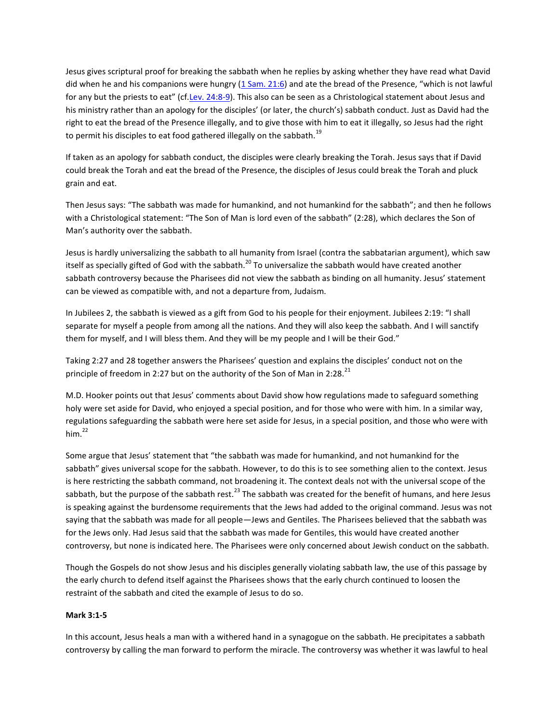Jesus gives scriptural proof for breaking the sabbath when he replies by asking whether they have read what David did when he and his companions were hungry  $(1 \text{ Sam. } 21:6)$  and ate the bread of the Presence, "which is not lawful for any but the priests to eat" (cf.[Lev. 24:8-9\)](http://biblia.com/bible/niv/Lev.%2024.8-9). This also can be seen as a Christological statement about Jesus and his ministry rather than an apology for the disciples' (or later, the church's) sabbath conduct. Just as David had the right to eat the bread of the Presence illegally, and to give those with him to eat it illegally, so Jesus had the right to permit his disciples to eat food gathered illegally on the sabbath.<sup>19</sup>

If taken as an apology for sabbath conduct, the disciples were clearly breaking the Torah. Jesus says that if David could break the Torah and eat the bread of the Presence, the disciples of Jesus could break the Torah and pluck grain and eat.

Then Jesus says: "The sabbath was made for humankind, and not humankind for the sabbath"; and then he follows with a Christological statement: "The Son of Man is lord even of the sabbath" (2:28), which declares the Son of Man's authority over the sabbath.

Jesus is hardly universalizing the sabbath to all humanity from Israel (contra the sabbatarian argument), which saw itself as specially gifted of God with the sabbath.<sup>20</sup> To universalize the sabbath would have created another sabbath controversy because the Pharisees did not view the sabbath as binding on all humanity. Jesus' statement can be viewed as compatible with, and not a departure from, Judaism.

In Jubilees 2, the sabbath is viewed as a gift from God to his people for their enjoyment. Jubilees 2:19: "I shall separate for myself a people from among all the nations. And they will also keep the sabbath. And I will sanctify them for myself, and I will bless them. And they will be my people and I will be their God."

Taking 2:27 and 28 together answers the Pharisees' question and explains the disciples' conduct not on the principle of freedom in 2:27 but on the authority of the Son of Man in 2:28.<sup>21</sup>

M.D. Hooker points out that Jesus' comments about David show how regulations made to safeguard something holy were set aside for David, who enjoyed a special position, and for those who were with him. In a similar way, regulations safeguarding the sabbath were here set aside for Jesus, in a special position, and those who were with him. $^{22}$ 

Some argue that Jesus' statement that "the sabbath was made for humankind, and not humankind for the sabbath" gives universal scope for the sabbath. However, to do this is to see something alien to the context. Jesus is here restricting the sabbath command, not broadening it. The context deals not with the universal scope of the sabbath, but the purpose of the sabbath rest.<sup>23</sup> The sabbath was created for the benefit of humans, and here Jesus is speaking against the burdensome requirements that the Jews had added to the original command. Jesus was not saying that the sabbath was made for all people—Jews and Gentiles. The Pharisees believed that the sabbath was for the Jews only. Had Jesus said that the sabbath was made for Gentiles, this would have created another controversy, but none is indicated here. The Pharisees were only concerned about Jewish conduct on the sabbath.

Though the Gospels do not show Jesus and his disciples generally violating sabbath law, the use of this passage by the early church to defend itself against the Pharisees shows that the early church continued to loosen the restraint of the sabbath and cited the example of Jesus to do so.

#### **Mark 3:1-5**

In this account, Jesus heals a man with a withered hand in a synagogue on the sabbath. He precipitates a sabbath controversy by calling the man forward to perform the miracle. The controversy was whether it was lawful to heal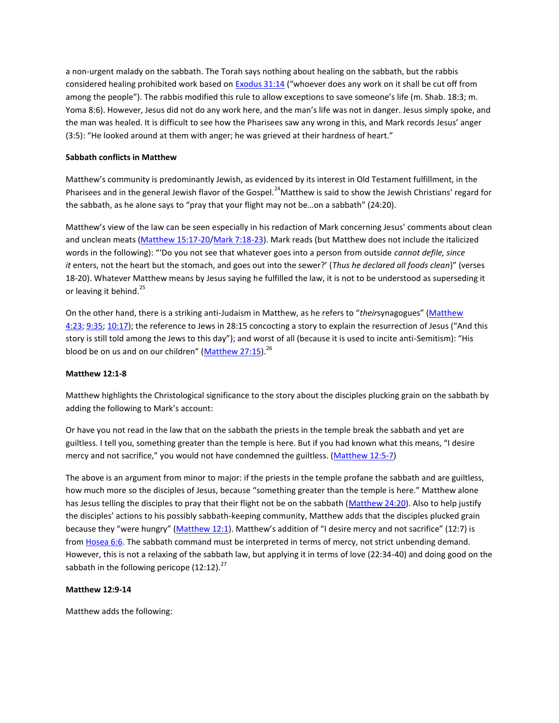a non-urgent malady on the sabbath. The Torah says nothing about healing on the sabbath, but the rabbis considered healing prohibited work based on **[Exodus 31:14](http://biblia.com/bible/niv/Exodus%2031.14)** ("whoever does any work on it shall be cut off from among the people"). The rabbis modified this rule to allow exceptions to save someone's life (m. Shab. 18:3; m. Yoma 8:6). However, Jesus did not do any work here, and the man's life was not in danger. Jesus simply spoke, and the man was healed. It is difficult to see how the Pharisees saw any wrong in this, and Mark records Jesus' anger (3:5): "He looked around at them with anger; he was grieved at their hardness of heart."

#### **Sabbath conflicts in Matthew**

Matthew's community is predominantly Jewish, as evidenced by its interest in Old Testament fulfillment, in the Pharisees and in the general Jewish flavor of the Gospel.<sup>24</sup>Matthew is said to show the Jewish Christians' regard for the sabbath, as he alone says to "pray that your flight may not be…on a sabbath" (24:20).

Matthew's view of the law can be seen especially in his redaction of Mark concerning Jesus' comments about clean and unclean meats [\(Matthew 15:17-20/](http://biblia.com/bible/niv/Matthew%2015.17-20)[Mark 7:18-23\)](http://biblia.com/bible/niv/Mark%207.18-23). Mark reads (but Matthew does not include the italicized words in the following): "'Do you not see that whatever goes into a person from outside *cannot defile, since it* enters, not the heart but the stomach, and goes out into the sewer?' (*Thus he declared all foods clean*)" (verses 18-20). Whatever Matthew means by Jesus saying he fulfilled the law, it is not to be understood as superseding it or leaving it behind.<sup>25</sup>

On the other hand, there is a striking anti-Judaism in Matthew, as he refers to "*their*synagogues" ([Matthew](http://biblia.com/bible/niv/Matthew%204.23)  [4:23;](http://biblia.com/bible/niv/Matthew%204.23) [9:35;](http://biblia.com/bible/niv/Matthew%209.35) [10:17](http://biblia.com/bible/niv/Matthew%2010.17)); the reference to Jews in 28:15 concocting a story to explain the resurrection of Jesus ("And this story is still told among the Jews to this day"); and worst of all (because it is used to incite anti-Semitism): "His blood be on us and on our children" ([Matthew 27:15\)](http://biblia.com/bible/niv/Matthew%2027.15). $^{26}$ 

# **Matthew 12:1-8**

Matthew highlights the Christological significance to the story about the disciples plucking grain on the sabbath by adding the following to Mark's account:

Or have you not read in the law that on the sabbath the priests in the temple break the sabbath and yet are guiltless. I tell you, something greater than the temple is here. But if you had known what this means, "I desire mercy and not sacrifice," you would not have condemned the guiltless. [\(Matthew 12:5-7\)](http://biblia.com/bible/niv/Matthew%2012.5-7)

The above is an argument from minor to major: if the priests in the temple profane the sabbath and are guiltless, how much more so the disciples of Jesus, because "something greater than the temple is here." Matthew alone has Jesus telling the disciples to pray that their flight not be on the sabbath [\(Matthew 24:20\)](http://biblia.com/bible/niv/Matthew%2024.20). Also to help justify the disciples' actions to his possibly sabbath-keeping community, Matthew adds that the disciples plucked grain because they "were hungry" ([Matthew 12:1\)](http://biblia.com/bible/niv/Matthew%2012.1). Matthew's addition of "I desire mercy and not sacrifice" (12:7) is from [Hosea 6:6.](http://biblia.com/bible/niv/Hosea%206.6) The sabbath command must be interpreted in terms of mercy, not strict unbending demand. However, this is not a relaxing of the sabbath law, but applying it in terms of love (22:34-40) and doing good on the sabbath in the following pericope  $(12:12).^{27}$ 

#### **Matthew 12:9-14**

Matthew adds the following: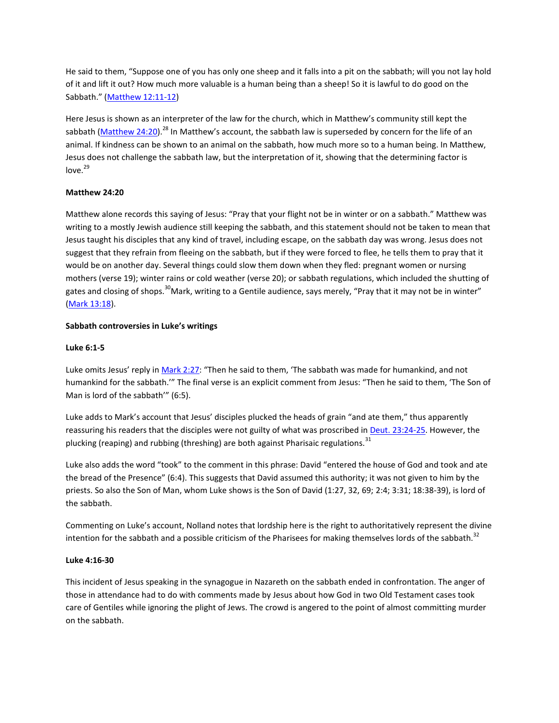He said to them, "Suppose one of you has only one sheep and it falls into a pit on the sabbath; will you not lay hold of it and lift it out? How much more valuable is a human being than a sheep! So it is lawful to do good on the Sabbath." ([Matthew 12:11-12\)](http://biblia.com/bible/niv/Matthew%2012.11-12)

Here Jesus is shown as an interpreter of the law for the church, which in Matthew's community still kept the sabbath [\(Matthew 24:20\)](http://biblia.com/bible/niv/Matthew%2024.20).<sup>28</sup> In Matthew's account, the sabbath law is superseded by concern for the life of an animal. If kindness can be shown to an animal on the sabbath, how much more so to a human being. In Matthew, Jesus does not challenge the sabbath law, but the interpretation of it, showing that the determining factor is  $love.<sup>29</sup>$ 

# **Matthew 24:20**

Matthew alone records this saying of Jesus: "Pray that your flight not be in winter or on a sabbath." Matthew was writing to a mostly Jewish audience still keeping the sabbath, and this statement should not be taken to mean that Jesus taught his disciples that any kind of travel, including escape, on the sabbath day was wrong. Jesus does not suggest that they refrain from fleeing on the sabbath, but if they were forced to flee, he tells them to pray that it would be on another day. Several things could slow them down when they fled: pregnant women or nursing mothers (verse 19); winter rains or cold weather (verse 20); or sabbath regulations, which included the shutting of gates and closing of shops.<sup>30</sup>Mark, writing to a Gentile audience, says merely, "Pray that it may not be in winter" [\(Mark 13:18\)](http://biblia.com/bible/niv/Mark%2013.18).

# **Sabbath controversies in Luke's writings**

#### **Luke 6:1-5**

Luke omits Jesus' reply in [Mark 2:27](http://biblia.com/bible/niv/Mark%202.27): "Then he said to them, 'The sabbath was made for humankind, and not humankind for the sabbath.'" The final verse is an explicit comment from Jesus: "Then he said to them, 'The Son of Man is lord of the sabbath'" (6:5).

Luke adds to Mark's account that Jesus' disciples plucked the heads of grain "and ate them," thus apparently reassuring his readers that the disciples were not guilty of what was proscribed in [Deut. 23:24-25.](http://biblia.com/bible/niv/Deut.%2023.24-25) However, the plucking (reaping) and rubbing (threshing) are both against Pharisaic regulations.<sup>31</sup>

Luke also adds the word "took" to the comment in this phrase: David "entered the house of God and took and ate the bread of the Presence" (6:4). This suggests that David assumed this authority; it was not given to him by the priests. So also the Son of Man, whom Luke shows is the Son of David (1:27, 32, 69; 2:4; 3:31; 18:38-39), is lord of the sabbath.

Commenting on Luke's account, Nolland notes that lordship here is the right to authoritatively represent the divine intention for the sabbath and a possible criticism of the Pharisees for making themselves lords of the sabbath. $32$ 

#### **Luke 4:16-30**

This incident of Jesus speaking in the synagogue in Nazareth on the sabbath ended in confrontation. The anger of those in attendance had to do with comments made by Jesus about how God in two Old Testament cases took care of Gentiles while ignoring the plight of Jews. The crowd is angered to the point of almost committing murder on the sabbath.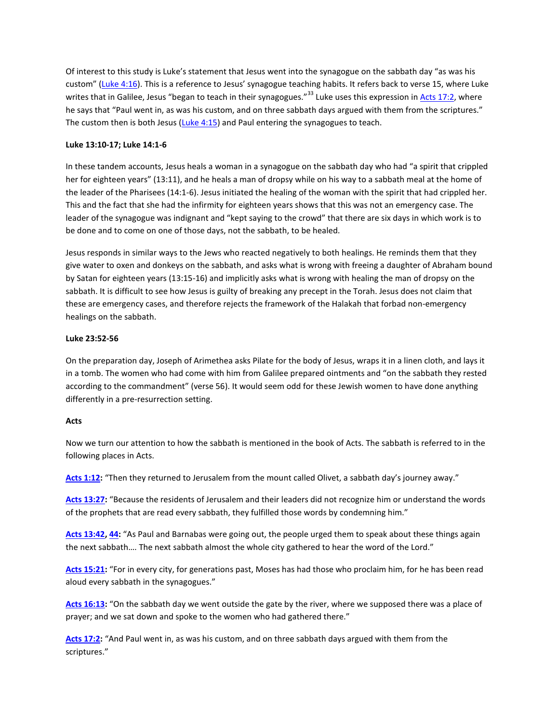Of interest to this study is Luke's statement that Jesus went into the synagogue on the sabbath day "as was his custom" ([Luke 4:16](http://biblia.com/bible/niv/Luke%204.16)). This is a reference to Jesus' synagogue teaching habits. It refers back to verse 15, where Luke writes that in Galilee, Jesus "began to teach in their synagogues."<sup>33</sup> Luke uses this expression in [Acts 17:2,](http://biblia.com/bible/niv/Acts%2017.2) where he says that "Paul went in, as was his custom, and on three sabbath days argued with them from the scriptures." The custom then is both Jesus [\(Luke 4:15\)](http://biblia.com/bible/niv/Luke%204.15) and Paul entering the synagogues to teach.

## **Luke 13:10-17; Luke 14:1-6**

In these tandem accounts, Jesus heals a woman in a synagogue on the sabbath day who had "a spirit that crippled her for eighteen years" (13:11), and he heals a man of dropsy while on his way to a sabbath meal at the home of the leader of the Pharisees (14:1-6). Jesus initiated the healing of the woman with the spirit that had crippled her. This and the fact that she had the infirmity for eighteen years shows that this was not an emergency case. The leader of the synagogue was indignant and "kept saying to the crowd" that there are six days in which work is to be done and to come on one of those days, not the sabbath, to be healed.

Jesus responds in similar ways to the Jews who reacted negatively to both healings. He reminds them that they give water to oxen and donkeys on the sabbath, and asks what is wrong with freeing a daughter of Abraham bound by Satan for eighteen years (13:15-16) and implicitly asks what is wrong with healing the man of dropsy on the sabbath. It is difficult to see how Jesus is guilty of breaking any precept in the Torah. Jesus does not claim that these are emergency cases, and therefore rejects the framework of the Halakah that forbad non-emergency healings on the sabbath.

# **Luke 23:52-56**

On the preparation day, Joseph of Arimethea asks Pilate for the body of Jesus, wraps it in a linen cloth, and lays it in a tomb. The women who had come with him from Galilee prepared ointments and "on the sabbath they rested according to the commandment" (verse 56). It would seem odd for these Jewish women to have done anything differently in a pre-resurrection setting.

#### **Acts**

Now we turn our attention to how the sabbath is mentioned in the book of Acts. The sabbath is referred to in the following places in Acts.

**[Acts 1:12:](http://biblia.com/bible/niv/Acts%201.12)** "Then they returned to Jerusalem from the mount called Olivet, a sabbath day's journey away."

**[Acts 13:27:](http://biblia.com/bible/niv/Acts%2013.27)** "Because the residents of Jerusalem and their leaders did not recognize him or understand the words of the prophets that are read every sabbath, they fulfilled those words by condemning him."

**[Acts 13:42,](http://biblia.com/bible/niv/Acts%2013.42) [44:](http://biblia.com/bible/niv/Acts%2013.44)** "As Paul and Barnabas were going out, the people urged them to speak about these things again the next sabbath…. The next sabbath almost the whole city gathered to hear the word of the Lord."

**[Acts 15:21:](http://biblia.com/bible/niv/Acts%2015.21)** "For in every city, for generations past, Moses has had those who proclaim him, for he has been read aloud every sabbath in the synagogues."

**[Acts 16:13:](http://biblia.com/bible/niv/Acts%2016.13)** "On the sabbath day we went outside the gate by the river, where we supposed there was a place of prayer; and we sat down and spoke to the women who had gathered there."

**[Acts 17:2:](http://biblia.com/bible/niv/Acts%2017.2)** "And Paul went in, as was his custom, and on three sabbath days argued with them from the scriptures."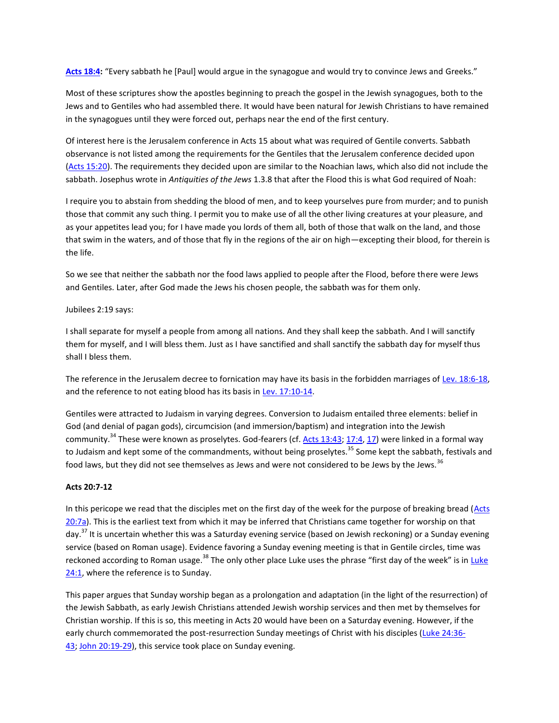**[Acts 18:4:](http://biblia.com/bible/niv/Acts%2018.4)** "Every sabbath he [Paul] would argue in the synagogue and would try to convince Jews and Greeks."

Most of these scriptures show the apostles beginning to preach the gospel in the Jewish synagogues, both to the Jews and to Gentiles who had assembled there. It would have been natural for Jewish Christians to have remained in the synagogues until they were forced out, perhaps near the end of the first century.

Of interest here is the Jerusalem conference in Acts 15 about what was required of Gentile converts. Sabbath observance is not listed among the requirements for the Gentiles that the Jerusalem conference decided upon [\(Acts 15:20\)](http://biblia.com/bible/niv/Acts%2015.20). The requirements they decided upon are similar to the Noachian laws, which also did not include the sabbath. Josephus wrote in *Antiquities of the Jews* 1.3.8 that after the Flood this is what God required of Noah:

I require you to abstain from shedding the blood of men, and to keep yourselves pure from murder; and to punish those that commit any such thing. I permit you to make use of all the other living creatures at your pleasure, and as your appetites lead you; for I have made you lords of them all, both of those that walk on the land, and those that swim in the waters, and of those that fly in the regions of the air on high—excepting their blood, for therein is the life.

So we see that neither the sabbath nor the food laws applied to people after the Flood, before there were Jews and Gentiles. Later, after God made the Jews his chosen people, the sabbath was for them only.

Jubilees 2:19 says:

I shall separate for myself a people from among all nations. And they shall keep the sabbath. And I will sanctify them for myself, and I will bless them. Just as I have sanctified and shall sanctify the sabbath day for myself thus shall I bless them.

The reference in the Jerusalem decree to fornication may have its basis in the forbidden marriages of [Lev. 18:6-18,](http://biblia.com/bible/niv/Lev.%2018.6-18) and the reference to not eating blood has its basis in [Lev. 17:10-14.](http://biblia.com/bible/niv/Lev.%2017.10-14)

Gentiles were attracted to Judaism in varying degrees. Conversion to Judaism entailed three elements: belief in God (and denial of pagan gods), circumcision (and immersion/baptism) and integration into the Jewish community.<sup>34</sup> These were known as proselytes. God-fearers (cf. [Acts 13:43;](http://biblia.com/bible/niv/Acts%2013.43) [17:4,](http://biblia.com/bible/niv/Acts%2017.4) [17\)](http://biblia.com/bible/niv/Acts%2017.17) were linked in a formal way to Judaism and kept some of the commandments, without being proselytes.<sup>35</sup> Some kept the sabbath, festivals and food laws, but they did not see themselves as Jews and were not considered to be Jews by the Jews.<sup>36</sup>

# **Acts 20:7-12**

In this pericope we read that the disciples met on the first day of the week for the purpose of breaking bread (Acts [20:7a\)](http://biblia.com/bible/niv/Acts%2020.7a). This is the earliest text from which it may be inferred that Christians came together for worship on that day.<sup>37</sup> It is uncertain whether this was a Saturday evening service (based on Jewish reckoning) or a Sunday evening service (based on Roman usage). Evidence favoring a Sunday evening meeting is that in Gentile circles, time was reckoned according to Roman usage.<sup>38</sup> The only other place [Luke](http://biblia.com/bible/niv/Luke%2024.1) uses the phrase "first day of the week" is in Luke [24:1,](http://biblia.com/bible/niv/Luke%2024.1) where the reference is to Sunday.

This paper argues that Sunday worship began as a prolongation and adaptation (in the light of the resurrection) of the Jewish Sabbath, as early Jewish Christians attended Jewish worship services and then met by themselves for Christian worship. If this is so, this meeting in Acts 20 would have been on a Saturday evening. However, if the early church commemorated the post-resurrection Sunday meetings of Christ with his disciples [\(Luke 24:36-](http://biblia.com/bible/niv/Luke%2024.36-43) [43;](http://biblia.com/bible/niv/Luke%2024.36-43) [John 20:19-29\)](http://biblia.com/bible/niv/John%2020.19-29), this service took place on Sunday evening.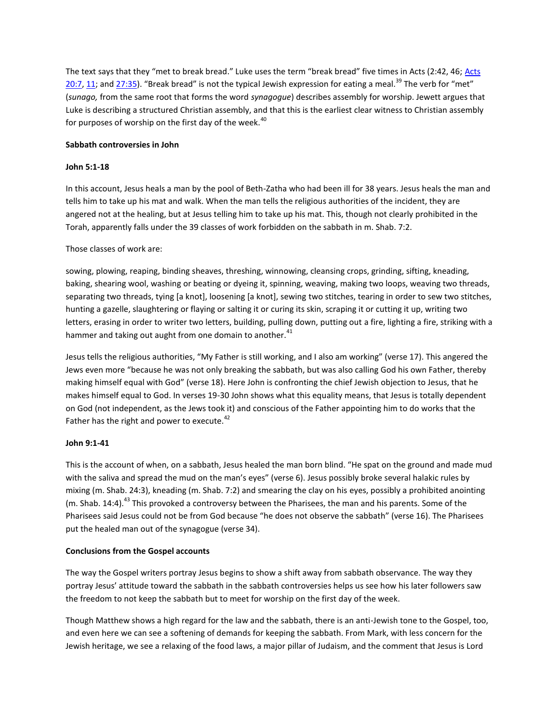The text says that they "met to break bread." Luke uses the term "break bread" five times in Acts (2:42, 46; [Acts](http://biblia.com/bible/niv/Acts%2020.7)  [20:7,](http://biblia.com/bible/niv/Acts%2020.7) [11;](http://biblia.com/bible/niv/Acts%2020.11) and [27:35](http://biblia.com/bible/niv/Acts%2027.35)). "Break bread" is not the typical Jewish expression for eating a meal.<sup>39</sup> The verb for "met" (*sunago,* from the same root that forms the word *synagogue*) describes assembly for worship. Jewett argues that Luke is describing a structured Christian assembly, and that this is the earliest clear witness to Christian assembly for purposes of worship on the first day of the week. $40$ 

# **Sabbath controversies in John**

# **John 5:1-18**

In this account, Jesus heals a man by the pool of Beth-Zatha who had been ill for 38 years. Jesus heals the man and tells him to take up his mat and walk. When the man tells the religious authorities of the incident, they are angered not at the healing, but at Jesus telling him to take up his mat. This, though not clearly prohibited in the Torah, apparently falls under the 39 classes of work forbidden on the sabbath in m. Shab. 7:2.

# Those classes of work are:

sowing, plowing, reaping, binding sheaves, threshing, winnowing, cleansing crops, grinding, sifting, kneading, baking, shearing wool, washing or beating or dyeing it, spinning, weaving, making two loops, weaving two threads, separating two threads, tying [a knot], loosening [a knot], sewing two stitches, tearing in order to sew two stitches, hunting a gazelle, slaughtering or flaying or salting it or curing its skin, scraping it or cutting it up, writing two letters, erasing in order to writer two letters, building, pulling down, putting out a fire, lighting a fire, striking with a hammer and taking out aught from one domain to another.<sup>41</sup>

Jesus tells the religious authorities, "My Father is still working, and I also am working" (verse 17). This angered the Jews even more "because he was not only breaking the sabbath, but was also calling God his own Father, thereby making himself equal with God" (verse 18). Here John is confronting the chief Jewish objection to Jesus, that he makes himself equal to God. In verses 19-30 John shows what this equality means, that Jesus is totally dependent on God (not independent, as the Jews took it) and conscious of the Father appointing him to do works that the Father has the right and power to execute. $42$ 

#### **John 9:1-41**

This is the account of when, on a sabbath, Jesus healed the man born blind. "He spat on the ground and made mud with the saliva and spread the mud on the man's eyes" (verse 6). Jesus possibly broke several halakic rules by mixing (m. Shab. 24:3), kneading (m. Shab. 7:2) and smearing the clay on his eyes, possibly a prohibited anointing (m. Shab. 14:4).<sup>43</sup> This provoked a controversy between the Pharisees, the man and his parents. Some of the Pharisees said Jesus could not be from God because "he does not observe the sabbath" (verse 16). The Pharisees put the healed man out of the synagogue (verse 34).

#### **Conclusions from the Gospel accounts**

The way the Gospel writers portray Jesus begins to show a shift away from sabbath observance. The way they portray Jesus' attitude toward the sabbath in the sabbath controversies helps us see how his later followers saw the freedom to not keep the sabbath but to meet for worship on the first day of the week.

Though Matthew shows a high regard for the law and the sabbath, there is an anti-Jewish tone to the Gospel, too, and even here we can see a softening of demands for keeping the sabbath. From Mark, with less concern for the Jewish heritage, we see a relaxing of the food laws, a major pillar of Judaism, and the comment that Jesus is Lord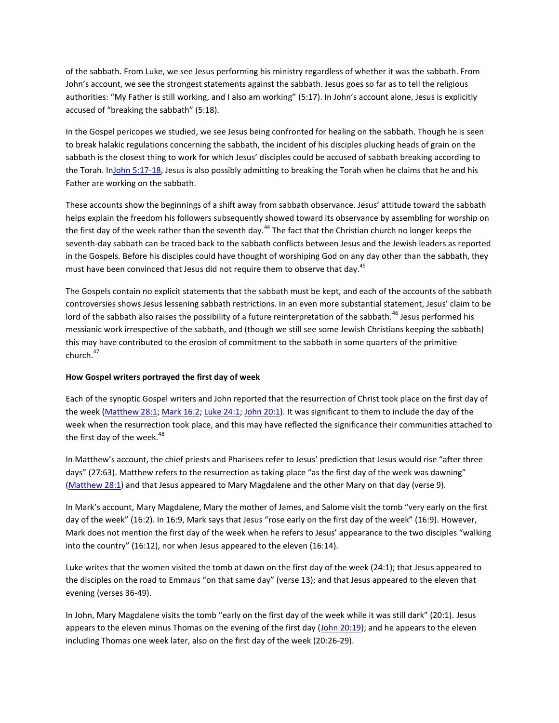of the sabbath. From Luke, we see Jesus performing his ministry regardless of whether it was the sabbath. From John's account, we see the strongest statements against the sabbath. Jesus goes so far as to tell the religious authorities: "My Father is still working, and I also am working" (5:17). In John's account alone, Jesus is explicitly accused of "breaking the sabbath" (5:18).

In the Gospel pericopes we studied, we see Jesus being confronted for healing on the sabbath. Though he is seen to break halakic regulations concerning the sabbath, the incident of his disciples plucking heads of grain on the sabbath is the closest thing to work for which Jesus' disciples could be accused of sabbath breaking according to the Torah. I[nJohn 5:17-18,](http://biblia.com/bible/niv/John%205.17-18) Jesus is also possibly admitting to breaking the Torah when he claims that he and his Father are working on the sabbath.

These accounts show the beginnings of a shift away from sabbath observance. Jesus' attitude toward the sabbath helps explain the freedom his followers subsequently showed toward its observance by assembling for worship on the first day of the week rather than the seventh day.<sup>44</sup> The fact that the Christian church no longer keeps the seventh-day sabbath can be traced back to the sabbath conflicts between Jesus and the Jewish leaders as reported in the Gospels. Before his disciples could have thought of worshiping God on any day other than the sabbath, they must have been convinced that Jesus did not require them to observe that day.<sup>45</sup>

The Gospels contain no explicit statements that the sabbath must be kept, and each of the accounts of the sabbath controversies shows Jesus lessening sabbath restrictions. In an even more substantial statement, Jesus' claim to be lord of the sabbath also raises the possibility of a future reinterpretation of the sabbath.<sup>46</sup> Jesus performed his messianic work irrespective of the sabbath, and (though we still see some Jewish Christians keeping the sabbath) this may have contributed to the erosion of commitment to the sabbath in some quarters of the primitive church.<sup>47</sup>

#### **How Gospel writers portrayed the first day of week**

Each of the synoptic Gospel writers and John reported that the resurrection of Christ took place on the first day of the week [\(Matthew 28:1;](http://biblia.com/bible/niv/Matthew%2028.1) [Mark 16:2;](http://biblia.com/bible/niv/Mark%2016.2) [Luke 24:1;](http://biblia.com/bible/niv/Luke%2024.1) [John 20:1\)](http://biblia.com/bible/niv/John%2020.1). It was significant to them to include the day of the week when the resurrection took place, and this may have reflected the significance their communities attached to the first day of the week. $48$ 

In Matthew's account, the chief priests and Pharisees refer to Jesus' prediction that Jesus would rise "after three days" (27:63). Matthew refers to the resurrection as taking place "as the first day of the week was dawning" [\(Matthew 28:1\)](http://biblia.com/bible/niv/Matthew%2028.1) and that Jesus appeared to Mary Magdalene and the other Mary on that day (verse 9).

In Mark's account, Mary Magdalene, Mary the mother of James, and Salome visit the tomb "very early on the first day of the week" (16:2). In 16:9, Mark says that Jesus "rose early on the first day of the week" (16:9). However, Mark does not mention the first day of the week when he refers to Jesus' appearance to the two disciples "walking into the country" (16:12), nor when Jesus appeared to the eleven (16:14).

Luke writes that the women visited the tomb at dawn on the first day of the week (24:1); that Jesus appeared to the disciples on the road to Emmaus "on that same day" (verse 13); and that Jesus appeared to the eleven that evening (verses 36-49).

In John, Mary Magdalene visits the tomb "early on the first day of the week while it was still dark" (20:1). Jesus appears to the eleven minus Thomas on the evening of the first day  $(John 20:19)$ ; and he appears to the eleven including Thomas one week later, also on the first day of the week (20:26-29).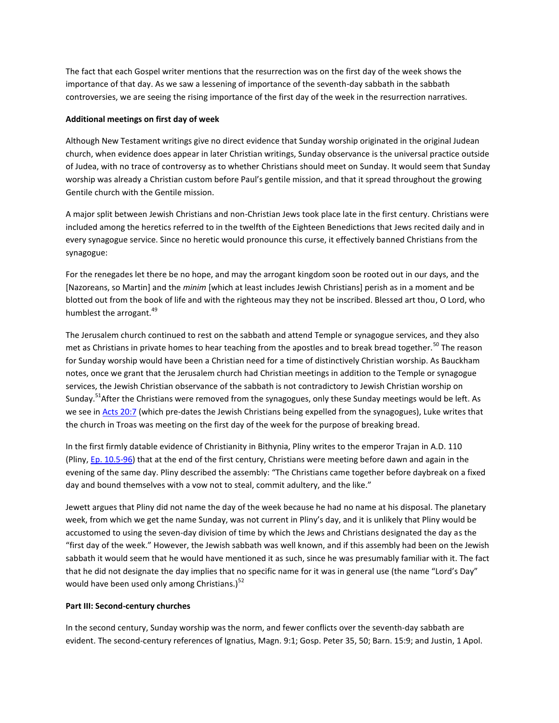The fact that each Gospel writer mentions that the resurrection was on the first day of the week shows the importance of that day. As we saw a lessening of importance of the seventh-day sabbath in the sabbath controversies, we are seeing the rising importance of the first day of the week in the resurrection narratives.

## **Additional meetings on first day of week**

Although New Testament writings give no direct evidence that Sunday worship originated in the original Judean church, when evidence does appear in later Christian writings, Sunday observance is the universal practice outside of Judea, with no trace of controversy as to whether Christians should meet on Sunday. It would seem that Sunday worship was already a Christian custom before Paul's gentile mission, and that it spread throughout the growing Gentile church with the Gentile mission.

A major split between Jewish Christians and non-Christian Jews took place late in the first century. Christians were included among the heretics referred to in the twelfth of the Eighteen Benedictions that Jews recited daily and in every synagogue service. Since no heretic would pronounce this curse, it effectively banned Christians from the synagogue:

For the renegades let there be no hope, and may the arrogant kingdom soon be rooted out in our days, and the [Nazoreans, so Martin] and the *minim* [which at least includes Jewish Christians] perish as in a moment and be blotted out from the book of life and with the righteous may they not be inscribed. Blessed art thou, O Lord, who humblest the arrogant.<sup>49</sup>

The Jerusalem church continued to rest on the sabbath and attend Temple or synagogue services, and they also met as Christians in private homes to hear teaching from the apostles and to break bread together.<sup>50</sup> The reason for Sunday worship would have been a Christian need for a time of distinctively Christian worship. As Bauckham notes, once we grant that the Jerusalem church had Christian meetings in addition to the Temple or synagogue services, the Jewish Christian observance of the sabbath is not contradictory to Jewish Christian worship on Sunday.<sup>51</sup>After the Christians were removed from the synagogues, only these Sunday meetings would be left. As we see in [Acts 20:7](http://biblia.com/bible/niv/Acts%2020.7) (which pre-dates the Jewish Christians being expelled from the synagogues), Luke writes that the church in Troas was meeting on the first day of the week for the purpose of breaking bread.

In the first firmly datable evidence of Christianity in Bithynia, Pliny writes to the emperor Trajan in A.D. 110 (Pliny, [Ep. 10.5-96\)](http://biblia.com/bible/niv/Ep.%2010.5-96) that at the end of the first century, Christians were meeting before dawn and again in the evening of the same day. Pliny described the assembly: "The Christians came together before daybreak on a fixed day and bound themselves with a vow not to steal, commit adultery, and the like."

Jewett argues that Pliny did not name the day of the week because he had no name at his disposal. The planetary week, from which we get the name Sunday, was not current in Pliny's day, and it is unlikely that Pliny would be accustomed to using the seven-day division of time by which the Jews and Christians designated the day as the "first day of the week." However, the Jewish sabbath was well known, and if this assembly had been on the Jewish sabbath it would seem that he would have mentioned it as such, since he was presumably familiar with it. The fact that he did not designate the day implies that no specific name for it was in general use (the name "Lord's Day" would have been used only among Christians.) $52$ 

#### **Part III: Second-century churches**

In the second century, Sunday worship was the norm, and fewer conflicts over the seventh-day sabbath are evident. The second-century references of Ignatius, Magn. 9:1; Gosp. Peter 35, 50; Barn. 15:9; and Justin, 1 Apol.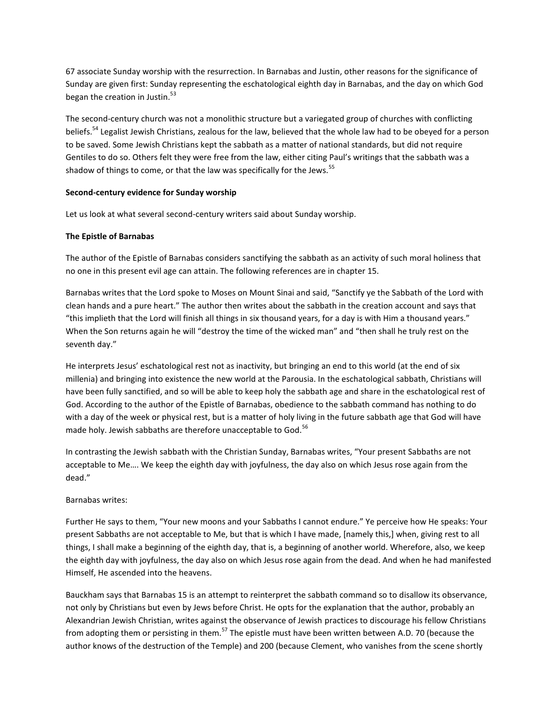67 associate Sunday worship with the resurrection. In Barnabas and Justin, other reasons for the significance of Sunday are given first: Sunday representing the eschatological eighth day in Barnabas, and the day on which God began the creation in Justin.<sup>53</sup>

The second-century church was not a monolithic structure but a variegated group of churches with conflicting beliefs.<sup>54</sup> Legalist Jewish Christians, zealous for the law, believed that the whole law had to be obeyed for a person to be saved. Some Jewish Christians kept the sabbath as a matter of national standards, but did not require Gentiles to do so. Others felt they were free from the law, either citing Paul's writings that the sabbath was a shadow of things to come, or that the law was specifically for the Jews.<sup>55</sup>

# **Second-century evidence for Sunday worship**

Let us look at what several second-century writers said about Sunday worship.

# **The Epistle of Barnabas**

The author of the Epistle of Barnabas considers sanctifying the sabbath as an activity of such moral holiness that no one in this present evil age can attain. The following references are in chapter 15.

Barnabas writes that the Lord spoke to Moses on Mount Sinai and said, "Sanctify ye the Sabbath of the Lord with clean hands and a pure heart." The author then writes about the sabbath in the creation account and says that "this implieth that the Lord will finish all things in six thousand years, for a day is with Him a thousand years." When the Son returns again he will "destroy the time of the wicked man" and "then shall he truly rest on the seventh day."

He interprets Jesus' eschatological rest not as inactivity, but bringing an end to this world (at the end of six millenia) and bringing into existence the new world at the Parousia. In the eschatological sabbath, Christians will have been fully sanctified, and so will be able to keep holy the sabbath age and share in the eschatological rest of God. According to the author of the Epistle of Barnabas, obedience to the sabbath command has nothing to do with a day of the week or physical rest, but is a matter of holy living in the future sabbath age that God will have made holy. Jewish sabbaths are therefore unacceptable to God.<sup>56</sup>

In contrasting the Jewish sabbath with the Christian Sunday, Barnabas writes, "Your present Sabbaths are not acceptable to Me…. We keep the eighth day with joyfulness, the day also on which Jesus rose again from the dead."

#### Barnabas writes:

Further He says to them, "Your new moons and your Sabbaths I cannot endure." Ye perceive how He speaks: Your present Sabbaths are not acceptable to Me, but that is which I have made, [namely this,] when, giving rest to all things, I shall make a beginning of the eighth day, that is, a beginning of another world. Wherefore, also, we keep the eighth day with joyfulness, the day also on which Jesus rose again from the dead. And when he had manifested Himself, He ascended into the heavens.

Bauckham says that Barnabas 15 is an attempt to reinterpret the sabbath command so to disallow its observance, not only by Christians but even by Jews before Christ. He opts for the explanation that the author, probably an Alexandrian Jewish Christian, writes against the observance of Jewish practices to discourage his fellow Christians from adopting them or persisting in them.<sup>57</sup> The epistle must have been written between A.D. 70 (because the author knows of the destruction of the Temple) and 200 (because Clement, who vanishes from the scene shortly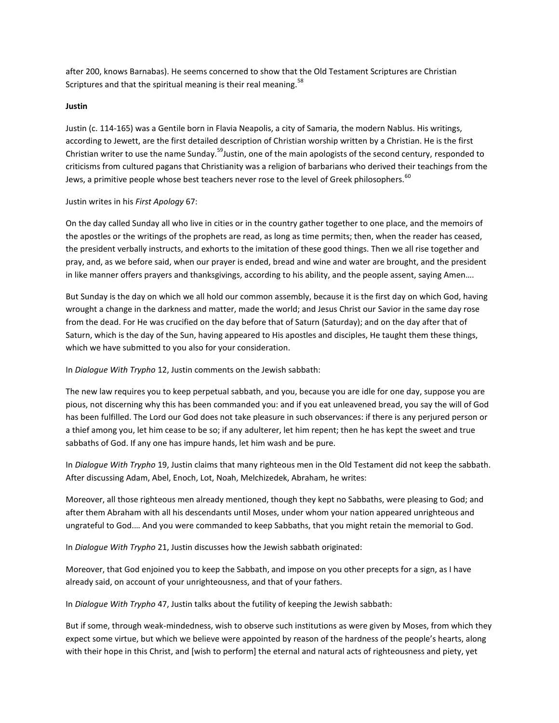after 200, knows Barnabas). He seems concerned to show that the Old Testament Scriptures are Christian Scriptures and that the spiritual meaning is their real meaning.<sup>58</sup>

# **Justin**

Justin (c. 114-165) was a Gentile born in Flavia Neapolis, a city of Samaria, the modern Nablus. His writings, according to Jewett, are the first detailed description of Christian worship written by a Christian. He is the first Christian writer to use the name Sunday.<sup>59</sup>Justin, one of the main apologists of the second century, responded to criticisms from cultured pagans that Christianity was a religion of barbarians who derived their teachings from the Jews, a primitive people whose best teachers never rose to the level of Greek philosophers.<sup>60</sup>

#### Justin writes in his *First Apology* 67:

On the day called Sunday all who live in cities or in the country gather together to one place, and the memoirs of the apostles or the writings of the prophets are read, as long as time permits; then, when the reader has ceased, the president verbally instructs, and exhorts to the imitation of these good things. Then we all rise together and pray, and, as we before said, when our prayer is ended, bread and wine and water are brought, and the president in like manner offers prayers and thanksgivings, according to his ability, and the people assent, saying Amen….

But Sunday is the day on which we all hold our common assembly, because it is the first day on which God, having wrought a change in the darkness and matter, made the world; and Jesus Christ our Savior in the same day rose from the dead. For He was crucified on the day before that of Saturn (Saturday); and on the day after that of Saturn, which is the day of the Sun, having appeared to His apostles and disciples, He taught them these things, which we have submitted to you also for your consideration.

# In *Dialogue With Trypho* 12, Justin comments on the Jewish sabbath:

The new law requires you to keep perpetual sabbath, and you, because you are idle for one day, suppose you are pious, not discerning why this has been commanded you: and if you eat unleavened bread, you say the will of God has been fulfilled. The Lord our God does not take pleasure in such observances: if there is any perjured person or a thief among you, let him cease to be so; if any adulterer, let him repent; then he has kept the sweet and true sabbaths of God. If any one has impure hands, let him wash and be pure.

In *Dialogue With Trypho* 19, Justin claims that many righteous men in the Old Testament did not keep the sabbath. After discussing Adam, Abel, Enoch, Lot, Noah, Melchizedek, Abraham, he writes:

Moreover, all those righteous men already mentioned, though they kept no Sabbaths, were pleasing to God; and after them Abraham with all his descendants until Moses, under whom your nation appeared unrighteous and ungrateful to God.… And you were commanded to keep Sabbaths, that you might retain the memorial to God.

In *Dialogue With Trypho* 21, Justin discusses how the Jewish sabbath originated:

Moreover, that God enjoined you to keep the Sabbath, and impose on you other precepts for a sign, as I have already said, on account of your unrighteousness, and that of your fathers.

In *Dialogue With Trypho* 47, Justin talks about the futility of keeping the Jewish sabbath:

But if some, through weak-mindedness, wish to observe such institutions as were given by Moses, from which they expect some virtue, but which we believe were appointed by reason of the hardness of the people's hearts, along with their hope in this Christ, and [wish to perform] the eternal and natural acts of righteousness and piety, yet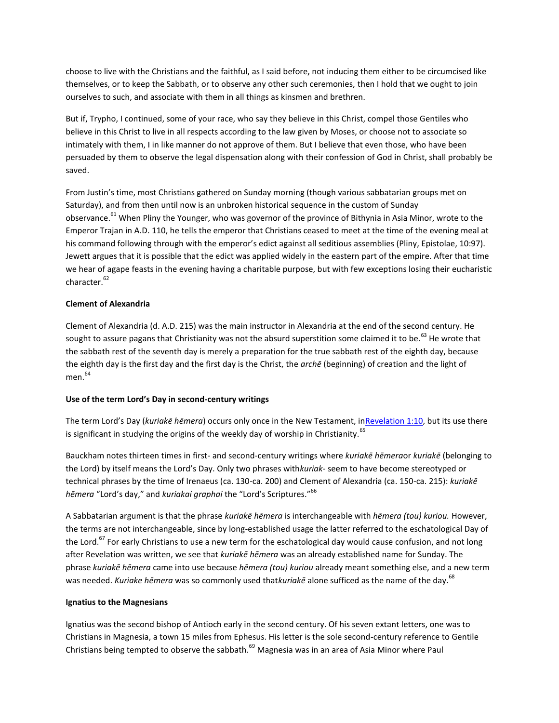choose to live with the Christians and the faithful, as I said before, not inducing them either to be circumcised like themselves, or to keep the Sabbath, or to observe any other such ceremonies, then I hold that we ought to join ourselves to such, and associate with them in all things as kinsmen and brethren.

But if, Trypho, I continued, some of your race, who say they believe in this Christ, compel those Gentiles who believe in this Christ to live in all respects according to the law given by Moses, or choose not to associate so intimately with them, I in like manner do not approve of them. But I believe that even those, who have been persuaded by them to observe the legal dispensation along with their confession of God in Christ, shall probably be saved.

From Justin's time, most Christians gathered on Sunday morning (though various sabbatarian groups met on Saturday), and from then until now is an unbroken historical sequence in the custom of Sunday observance.<sup>61</sup> When Pliny the Younger, who was governor of the province of Bithynia in Asia Minor, wrote to the Emperor Trajan in A.D. 110, he tells the emperor that Christians ceased to meet at the time of the evening meal at his command following through with the emperor's edict against all seditious assemblies (Pliny, Epistolae, 10:97). Jewett argues that it is possible that the edict was applied widely in the eastern part of the empire. After that time we hear of agape feasts in the evening having a charitable purpose, but with few exceptions losing their eucharistic character.<sup>62</sup>

# **Clement of Alexandria**

Clement of Alexandria (d. A.D. 215) was the main instructor in Alexandria at the end of the second century. He sought to assure pagans that Christianity was not the absurd superstition some claimed it to be.<sup>63</sup> He wrote that the sabbath rest of the seventh day is merely a preparation for the true sabbath rest of the eighth day, because the eighth day is the first day and the first day is the Christ, the *archē* (beginning) of creation and the light of men. 64

# **Use of the term Lord's Day in second-century writings**

The term Lord's Day (*kuriakē hēmera*) occurs only once in the New Testament, i[nRevelation 1:10,](http://biblia.com/bible/niv/Revelation%201.10) but its use there is significant in studying the origins of the weekly day of worship in Christianity.<sup>65</sup>

Bauckham notes thirteen times in first- and second-century writings where *kuriakē hēmera*or *kuriakē* (belonging to the Lord) by itself means the Lord's Day. Only two phrases with*kuriak-* seem to have become stereotyped or technical phrases by the time of Irenaeus (ca. 130-ca. 200) and Clement of Alexandria (ca. 150-ca. 215): *kuriakē hēmera* "Lord's day," and *kuriakai graphai* the "Lord's Scriptures."<sup>66</sup>

A Sabbatarian argument is that the phrase *kuriakē hēmera* is interchangeable with *hēmera (tou) kuriou.* However, the terms are not interchangeable, since by long-established usage the latter referred to the eschatological Day of the Lord.<sup>67</sup> For early Christians to use a new term for the eschatological day would cause confusion, and not long after Revelation was written, we see that *kuriakē hēmera* was an already established name for Sunday. The phrase *kuriakē hēmera* came into use because *hēmera (tou) kuriou* already meant something else, and a new term was needed. *Kuriake hēmera* was so commonly used that*kuriakē* alone sufficed as the name of the day.<sup>68</sup>

# **Ignatius to the Magnesians**

Ignatius was the second bishop of Antioch early in the second century. Of his seven extant letters, one was to Christians in Magnesia, a town 15 miles from Ephesus. His letter is the sole second-century reference to Gentile Christians being tempted to observe the sabbath.<sup>69</sup> Magnesia was in an area of Asia Minor where Paul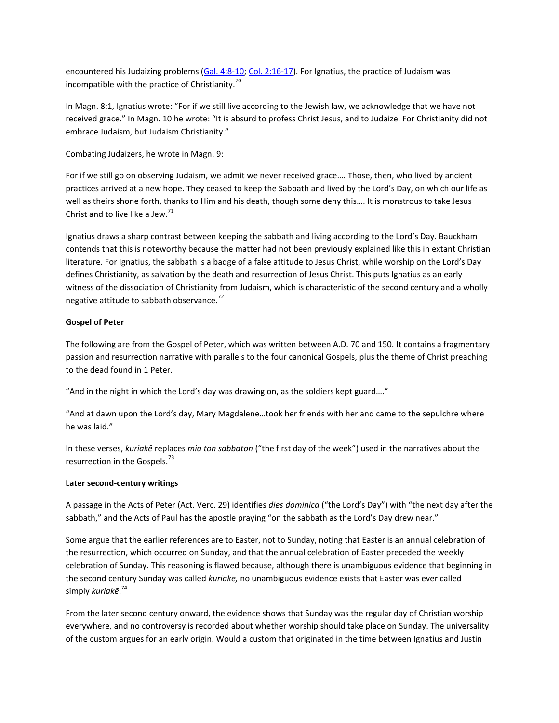encountered his Judaizing problems [\(Gal. 4:8-10;](http://biblia.com/bible/niv/Gal.%204.8-10) [Col. 2:16-17\)](http://biblia.com/bible/niv/Col.%202.16-17). For Ignatius, the practice of Judaism was incompatible with the practice of Christianity. $\frac{70}{2}$ 

In Magn. 8:1, Ignatius wrote: "For if we still live according to the Jewish law, we acknowledge that we have not received grace." In Magn. 10 he wrote: "It is absurd to profess Christ Jesus, and to Judaize. For Christianity did not embrace Judaism, but Judaism Christianity."

Combating Judaizers, he wrote in Magn. 9:

For if we still go on observing Judaism, we admit we never received grace…. Those, then, who lived by ancient practices arrived at a new hope. They ceased to keep the Sabbath and lived by the Lord's Day, on which our life as well as theirs shone forth, thanks to Him and his death, though some deny this…. It is monstrous to take Jesus Christ and to live like a Jew. $^{71}$ 

Ignatius draws a sharp contrast between keeping the sabbath and living according to the Lord's Day. Bauckham contends that this is noteworthy because the matter had not been previously explained like this in extant Christian literature. For Ignatius, the sabbath is a badge of a false attitude to Jesus Christ, while worship on the Lord's Day defines Christianity, as salvation by the death and resurrection of Jesus Christ. This puts Ignatius as an early witness of the dissociation of Christianity from Judaism, which is characteristic of the second century and a wholly negative attitude to sabbath observance.<sup>72</sup>

# **Gospel of Peter**

The following are from the Gospel of Peter, which was written between A.D. 70 and 150. It contains a fragmentary passion and resurrection narrative with parallels to the four canonical Gospels, plus the theme of Christ preaching to the dead found in 1 Peter.

"And in the night in which the Lord's day was drawing on, as the soldiers kept guard…."

"And at dawn upon the Lord's day, Mary Magdalene…took her friends with her and came to the sepulchre where he was laid."

In these verses, *kuriakē* replaces *mia ton sabbaton* ("the first day of the week") used in the narratives about the resurrection in the Gospels.<sup>73</sup>

#### **Later second-century writings**

A passage in the Acts of Peter (Act. Verc. 29) identifies *dies dominica* ("the Lord's Day") with "the next day after the sabbath," and the Acts of Paul has the apostle praying "on the sabbath as the Lord's Day drew near."

Some argue that the earlier references are to Easter, not to Sunday, noting that Easter is an annual celebration of the resurrection, which occurred on Sunday, and that the annual celebration of Easter preceded the weekly celebration of Sunday. This reasoning is flawed because, although there is unambiguous evidence that beginning in the second century Sunday was called *kuriakē,* no unambiguous evidence exists that Easter was ever called simply *kuriakē*. 74

From the later second century onward, the evidence shows that Sunday was the regular day of Christian worship everywhere, and no controversy is recorded about whether worship should take place on Sunday. The universality of the custom argues for an early origin. Would a custom that originated in the time between Ignatius and Justin